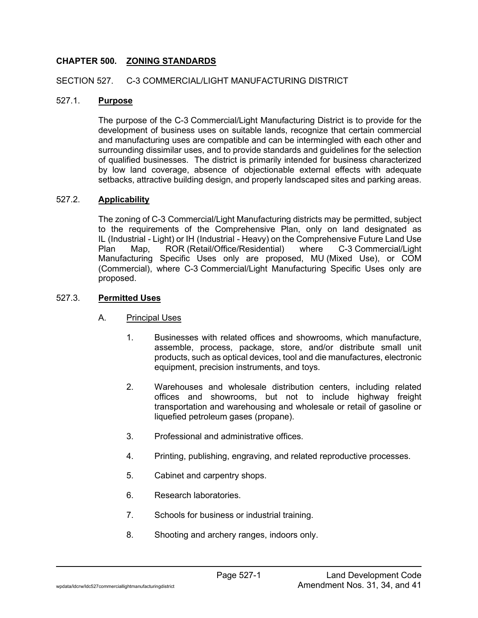## **CHAPTER 500. ZONING STANDARDS**

#### SECTION 527. C-3 COMMERCIAL/LIGHT MANUFACTURING DISTRICT

#### 527.1. **Purpose**

The purpose of the C-3 Commercial/Light Manufacturing District is to provide for the development of business uses on suitable lands, recognize that certain commercial and manufacturing uses are compatible and can be intermingled with each other and surrounding dissimilar uses, and to provide standards and guidelines for the selection of qualified businesses. The district is primarily intended for business characterized by low land coverage, absence of objectionable external effects with adequate setbacks, attractive building design, and properly landscaped sites and parking areas.

#### 527.2. **Applicability**

The zoning of C-3 Commercial/Light Manufacturing districts may be permitted, subject to the requirements of the Comprehensive Plan, only on land designated as IL (Industrial - Light) or IH (Industrial - Heavy) on the Comprehensive Future Land Use Plan Map, ROR (Retail/Office/Residential) where C-3 Commercial/Light Manufacturing Specific Uses only are proposed, MU (Mixed Use), or COM (Commercial), where C-3 Commercial/Light Manufacturing Specific Uses only are proposed.

#### 527.3. **Permitted Uses**

- A. Principal Uses
	- 1. Businesses with related offices and showrooms, which manufacture, assemble, process, package, store, and/or distribute small unit products, such as optical devices, tool and die manufactures, electronic equipment, precision instruments, and toys.
	- 2. Warehouses and wholesale distribution centers, including related offices and showrooms, but not to include highway freight transportation and warehousing and wholesale or retail of gasoline or liquefied petroleum gases (propane).
	- 3. Professional and administrative offices.
	- 4. Printing, publishing, engraving, and related reproductive processes.
	- 5. Cabinet and carpentry shops.
	- 6. Research laboratories.
	- 7. Schools for business or industrial training.
	- 8. Shooting and archery ranges, indoors only.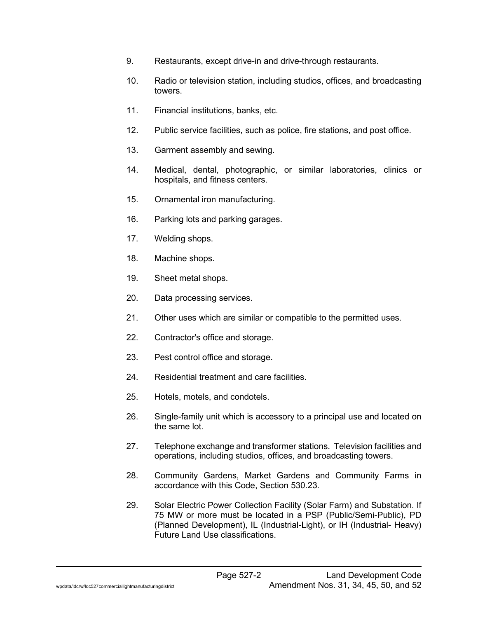- 9. Restaurants, except drive-in and drive-through restaurants.
- 10. Radio or television station, including studios, offices, and broadcasting towers.
- 11. Financial institutions, banks, etc.
- 12. Public service facilities, such as police, fire stations, and post office.
- 13. Garment assembly and sewing.
- 14. Medical, dental, photographic, or similar laboratories, clinics or hospitals, and fitness centers.
- 15. Ornamental iron manufacturing.
- 16. Parking lots and parking garages.
- 17. Welding shops.
- 18. Machine shops.
- 19. Sheet metal shops.
- 20. Data processing services.
- 21. Other uses which are similar or compatible to the permitted uses.
- 22. Contractor's office and storage.
- 23. Pest control office and storage.
- 24. Residential treatment and care facilities.
- 25. Hotels, motels, and condotels.
- 26. Single-family unit which is accessory to a principal use and located on the same lot.
- 27. Telephone exchange and transformer stations. Television facilities and operations, including studios, offices, and broadcasting towers.
- 28. Community Gardens, Market Gardens and Community Farms in accordance with this Code, Section 530.23.
- 29. Solar Electric Power Collection Facility (Solar Farm) and Substation. If 75 MW or more must be located in a PSP (Public/Semi-Public), PD (Planned Development), IL (Industrial-Light), or IH (Industrial- Heavy) Future Land Use classifications.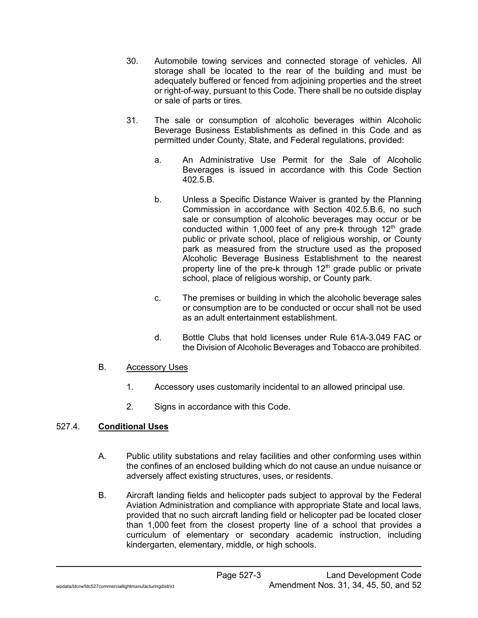- 30. Automobile towing services and connected storage of vehicles. All storage shall be located to the rear of the building and must be adequately buffered or fenced from adjoining properties and the street or right-of-way, pursuant to this Code. There shall be no outside display or sale of parts or tires.
- 31. The sale or consumption of alcoholic beverages within Alcoholic Beverage Business Establishments as defined in this Code and as permitted under County, State, and Federal regulations, provided:
	- a. An Administrative Use Permit for the Sale of Alcoholic Beverages is issued in accordance with this Code Section 402.5.B.
	- b. Unless a Specific Distance Waiver is granted by the Planning Commission in accordance with Section 402.5.B.6, no such sale or consumption of alcoholic beverages may occur or be conducted within 1,000 feet of any pre-k through  $12<sup>th</sup>$  grade public or private school, place of religious worship, or County park as measured from the structure used as the proposed Alcoholic Beverage Business Establishment to the nearest property line of the pre-k through  $12<sup>th</sup>$  grade public or private school, place of religious worship, or County park.
	- c. The premises or building in which the alcoholic beverage sales or consumption are to be conducted or occur shall not be used as an adult entertainment establishment.
	- d. Bottle Clubs that hold licenses under Rule 61A-3.049 FAC or the Division of Alcoholic Beverages and Tobacco are prohibited.

# B. Accessory Uses

- 1. Accessory uses customarily incidental to an allowed principal use.
- 2. Signs in accordance with this Code.

# 527.4. **Conditional Uses**

- A. Public utility substations and relay facilities and other conforming uses within the confines of an enclosed building which do not cause an undue nuisance or adversely affect existing structures, uses, or residents.
- B. Aircraft landing fields and helicopter pads subject to approval by the Federal Aviation Administration and compliance with appropriate State and local laws, provided that no such aircraft landing field or helicopter pad be located closer than 1,000 feet from the closest property line of a school that provides a curriculum of elementary or secondary academic instruction, including kindergarten, elementary, middle, or high schools.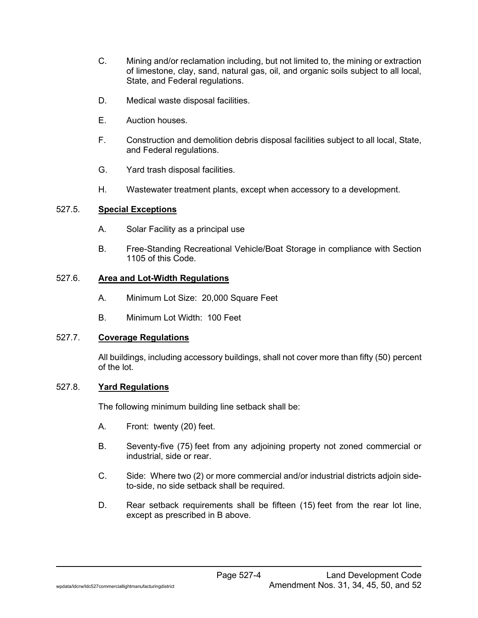- C. Mining and/or reclamation including, but not limited to, the mining or extraction of limestone, clay, sand, natural gas, oil, and organic soils subject to all local, State, and Federal regulations.
- D. Medical waste disposal facilities.
- E. Auction houses.
- F. Construction and demolition debris disposal facilities subject to all local, State, and Federal regulations.
- G. Yard trash disposal facilities.
- H. Wastewater treatment plants, except when accessory to a development.

## 527.5. **Special Exceptions**

- A. Solar Facility as a principal use
- B. Free-Standing Recreational Vehicle/Boat Storage in compliance with Section 1105 of this Code.

## 527.6. **Area and Lot-Width Regulations**

- A. Minimum Lot Size: 20,000 Square Feet
- B. Minimum Lot Width: 100 Feet

## 527.7. **Coverage Regulations**

All buildings, including accessory buildings, shall not cover more than fifty (50) percent of the lot.

# 527.8. **Yard Regulations**

The following minimum building line setback shall be:

- A. Front: twenty (20) feet.
- B. Seventy-five (75) feet from any adjoining property not zoned commercial or industrial, side or rear.
- C. Side: Where two (2) or more commercial and/or industrial districts adjoin sideto-side, no side setback shall be required.
- D. Rear setback requirements shall be fifteen (15) feet from the rear lot line, except as prescribed in B above.